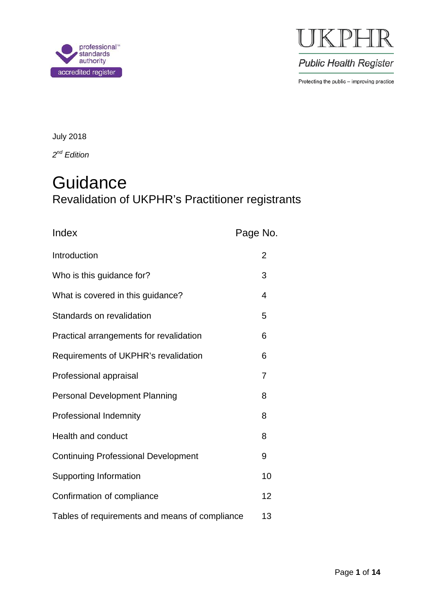



**Public Health Register** 

Protecting the public - improving practice

July 2018

*2nd Edition*

# **Guidance** Revalidation of UKPHR's Practitioner registrants

| Index                                          | Page No.       |
|------------------------------------------------|----------------|
| Introduction                                   | $\overline{2}$ |
| Who is this guidance for?                      | 3              |
| What is covered in this guidance?              | 4              |
| Standards on revalidation                      | 5              |
| Practical arrangements for revalidation        | 6              |
| Requirements of UKPHR's revalidation           | 6              |
| Professional appraisal                         | 7              |
| <b>Personal Development Planning</b>           | 8              |
| Professional Indemnity                         | 8              |
| Health and conduct                             | 8              |
| <b>Continuing Professional Development</b>     | 9              |
| <b>Supporting Information</b>                  | 10             |
| Confirmation of compliance                     | 12             |
| Tables of requirements and means of compliance | 13             |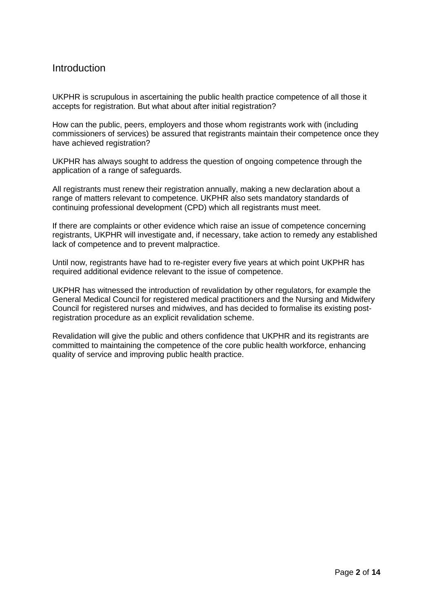### **Introduction**

UKPHR is scrupulous in ascertaining the public health practice competence of all those it accepts for registration. But what about after initial registration?

How can the public, peers, employers and those whom registrants work with (including commissioners of services) be assured that registrants maintain their competence once they have achieved registration?

UKPHR has always sought to address the question of ongoing competence through the application of a range of safeguards.

All registrants must renew their registration annually, making a new declaration about a range of matters relevant to competence. UKPHR also sets mandatory standards of continuing professional development (CPD) which all registrants must meet.

If there are complaints or other evidence which raise an issue of competence concerning registrants, UKPHR will investigate and, if necessary, take action to remedy any established lack of competence and to prevent malpractice.

Until now, registrants have had to re-register every five years at which point UKPHR has required additional evidence relevant to the issue of competence.

UKPHR has witnessed the introduction of revalidation by other regulators, for example the General Medical Council for registered medical practitioners and the Nursing and Midwifery Council for registered nurses and midwives, and has decided to formalise its existing postregistration procedure as an explicit revalidation scheme.

Revalidation will give the public and others confidence that UKPHR and its registrants are committed to maintaining the competence of the core public health workforce, enhancing quality of service and improving public health practice.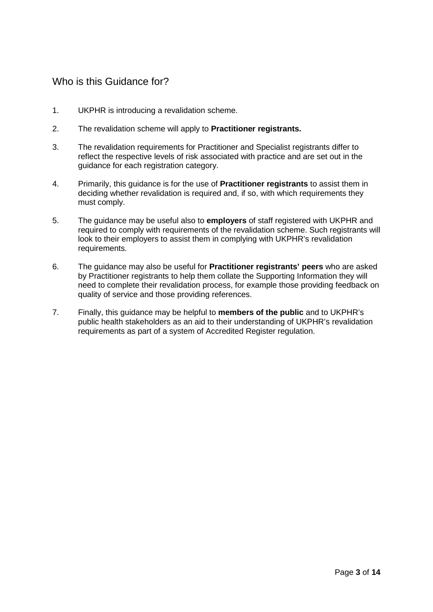# Who is this Guidance for?

- 1. UKPHR is introducing a revalidation scheme.
- 2. The revalidation scheme will apply to **Practitioner registrants.**
- 3. The revalidation requirements for Practitioner and Specialist registrants differ to reflect the respective levels of risk associated with practice and are set out in the guidance for each registration category.
- 4. Primarily, this guidance is for the use of **Practitioner registrants** to assist them in deciding whether revalidation is required and, if so, with which requirements they must comply.
- 5. The guidance may be useful also to **employers** of staff registered with UKPHR and required to comply with requirements of the revalidation scheme. Such registrants will look to their employers to assist them in complying with UKPHR's revalidation requirements.
- 6. The guidance may also be useful for **Practitioner registrants' peers** who are asked by Practitioner registrants to help them collate the Supporting Information they will need to complete their revalidation process, for example those providing feedback on quality of service and those providing references.
- 7. Finally, this guidance may be helpful to **members of the public** and to UKPHR's public health stakeholders as an aid to their understanding of UKPHR's revalidation requirements as part of a system of Accredited Register regulation.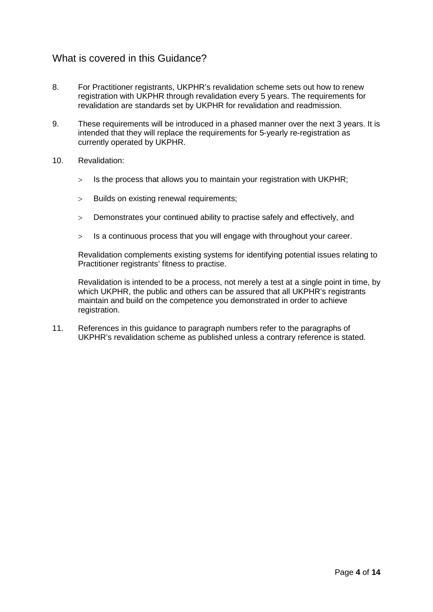### What is covered in this Guidance?

- 8. For Practitioner registrants, UKPHR's revalidation scheme sets out how to renew registration with UKPHR through revalidation every 5 years. The requirements for revalidation are standards set by UKPHR for revalidation and readmission.
- 9. These requirements will be introduced in a phased manner over the next 3 years. It is intended that they will replace the requirements for 5-yearly re-registration as currently operated by UKPHR.
- 10. Revalidation:
	- $>$  Is the process that allows you to maintain your registration with UKPHR;
	- > Builds on existing renewal requirements;
	- > Demonstrates your continued ability to practise safely and effectively, and
	- > Is a continuous process that you will engage with throughout your career.

Revalidation complements existing systems for identifying potential issues relating to Practitioner registrants' fitness to practise.

Revalidation is intended to be a process, not merely a test at a single point in time, by which UKPHR, the public and others can be assured that all UKPHR's registrants maintain and build on the competence you demonstrated in order to achieve registration.

11. References in this guidance to paragraph numbers refer to the paragraphs of UKPHR's revalidation scheme as published unless a contrary reference is stated.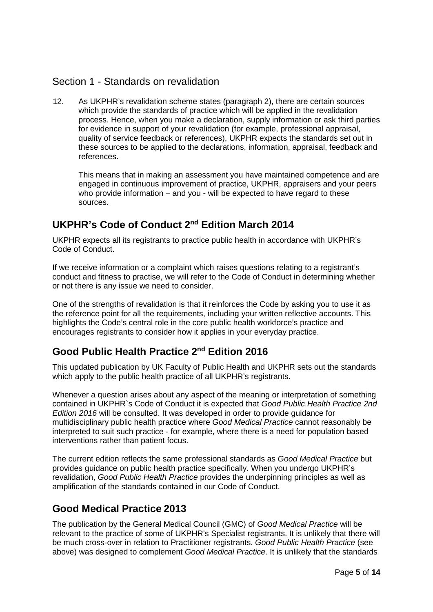# Section 1 - Standards on revalidation

12. As UKPHR's revalidation scheme states (paragraph 2), there are certain sources which provide the standards of practice which will be applied in the revalidation process. Hence, when you make a declaration, supply information or ask third parties for evidence in support of your revalidation (for example, professional appraisal, quality of service feedback or references), UKPHR expects the standards set out in these sources to be applied to the declarations, information, appraisal, feedback and references.

This means that in making an assessment you have maintained competence and are engaged in continuous improvement of practice, UKPHR, appraisers and your peers who provide information – and you - will be expected to have regard to these sources.

# **UKPHR's Code of Conduct 2nd Edition March 2014**

UKPHR expects all its registrants to practice public health in accordance with UKPHR's Code of Conduct.

If we receive information or a complaint which raises questions relating to a registrant's conduct and fitness to practise, we will refer to the Code of Conduct in determining whether or not there is any issue we need to consider.

One of the strengths of revalidation is that it reinforces the Code by asking you to use it as the reference point for all the requirements, including your written reflective accounts. This highlights the Code's central role in the core public health workforce's practice and encourages registrants to consider how it applies in your everyday practice.

# **Good Public Health Practice 2nd Edition 2016**

This updated publication by UK Faculty of Public Health and UKPHR sets out the standards which apply to the public health practice of all UKPHR's registrants.

Whenever a question arises about any aspect of the meaning or interpretation of something contained in UKPHR`s Code of Conduct it is expected that *Good Public Health Practice 2nd Edition 2016* will be consulted. It was developed in order to provide guidance for multidisciplinary public health practice where *Good Medical Practice* cannot reasonably be interpreted to suit such practice - for example, where there is a need for population based interventions rather than patient focus.

The current edition reflects the same professional standards as *Good Medical Practice* but provides guidance on public health practice specifically. When you undergo UKPHR's revalidation, *Good Public Health Practice* provides the underpinning principles as well as amplification of the standards contained in our Code of Conduct.

# **Good Medical Practice 2013**

The publication by the General Medical Council (GMC) of *Good Medical Practice* will be relevant to the practice of some of UKPHR's Specialist registrants. It is unlikely that there will be much cross-over in relation to Practitioner registrants. *Good Public Health Practice* (see above) was designed to complement *Good Medical Practice*. It is unlikely that the standards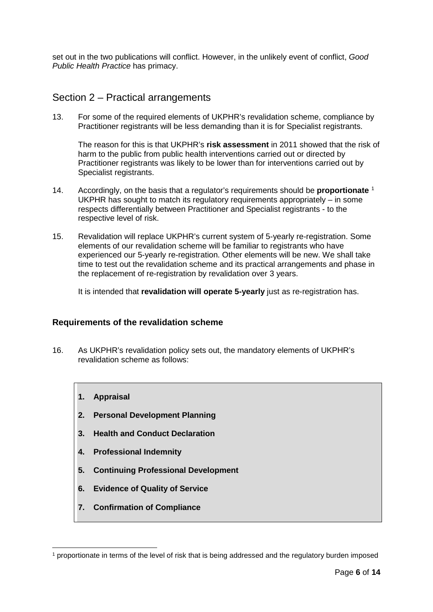set out in the two publications will conflict. However, in the unlikely event of conflict, *Good Public Health Practice* has primacy.

### Section 2 – Practical arrangements

13. For some of the required elements of UKPHR's revalidation scheme, compliance by Practitioner registrants will be less demanding than it is for Specialist registrants.

The reason for this is that UKPHR's **risk assessment** in 2011 showed that the risk of harm to the public from public health interventions carried out or directed by Practitioner registrants was likely to be lower than for interventions carried out by Specialist registrants.

- 14. Accordingly, on the basis that a regulator's requirements should be **proportionate** [1](#page-5-0) UKPHR has sought to match its regulatory requirements appropriately – in some respects differentially between Practitioner and Specialist registrants - to the respective level of risk.
- 15. Revalidation will replace UKPHR's current system of 5-yearly re-registration. Some elements of our revalidation scheme will be familiar to registrants who have experienced our 5-yearly re-registration. Other elements will be new. We shall take time to test out the revalidation scheme and its practical arrangements and phase in the replacement of re-registration by revalidation over 3 years.

It is intended that **revalidation will operate 5-yearly** just as re-registration has.

#### **Requirements of the revalidation scheme**

- 16. As UKPHR's revalidation policy sets out, the mandatory elements of UKPHR's revalidation scheme as follows:
	- **1. Appraisal**
	- **2. Personal Development Planning**
	- **3. Health and Conduct Declaration**
	- **4. Professional Indemnity**
	- **5. Continuing Professional Development**
	- **6. Evidence of Quality of Service**
	- **7. Confirmation of Compliance**

<span id="page-5-0"></span> <sup>1</sup> proportionate in terms of the level of risk that is being addressed and the regulatory burden imposed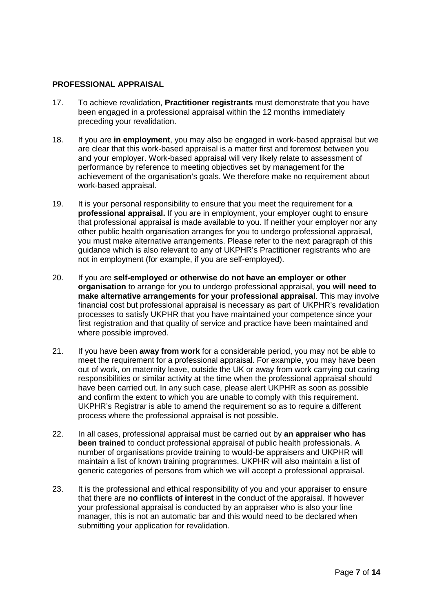#### **PROFESSIONAL APPRAISAL**

- 17. To achieve revalidation, **Practitioner registrants** must demonstrate that you have been engaged in a professional appraisal within the 12 months immediately preceding your revalidation.
- 18. If you are **in employment**, you may also be engaged in work-based appraisal but we are clear that this work-based appraisal is a matter first and foremost between you and your employer. Work-based appraisal will very likely relate to assessment of performance by reference to meeting objectives set by management for the achievement of the organisation's goals. We therefore make no requirement about work-based appraisal.
- 19. It is your personal responsibility to ensure that you meet the requirement for **a professional appraisal.** If you are in employment, your employer ought to ensure that professional appraisal is made available to you. If neither your employer nor any other public health organisation arranges for you to undergo professional appraisal, you must make alternative arrangements. Please refer to the next paragraph of this guidance which is also relevant to any of UKPHR's Practitioner registrants who are not in employment (for example, if you are self-employed).
- 20. If you are **self-employed or otherwise do not have an employer or other organisation** to arrange for you to undergo professional appraisal, **you will need to make alternative arrangements for your professional appraisal**. This may involve financial cost but professional appraisal is necessary as part of UKPHR's revalidation processes to satisfy UKPHR that you have maintained your competence since your first registration and that quality of service and practice have been maintained and where possible improved.
- 21. If you have been **away from work** for a considerable period, you may not be able to meet the requirement for a professional appraisal. For example, you may have been out of work, on maternity leave, outside the UK or away from work carrying out caring responsibilities or similar activity at the time when the professional appraisal should have been carried out. In any such case, please alert UKPHR as soon as possible and confirm the extent to which you are unable to comply with this requirement. UKPHR's Registrar is able to amend the requirement so as to require a different process where the professional appraisal is not possible.
- 22. In all cases, professional appraisal must be carried out by **an appraiser who has been trained** to conduct professional appraisal of public health professionals. A number of organisations provide training to would-be appraisers and UKPHR will maintain a list of known training programmes. UKPHR will also maintain a list of generic categories of persons from which we will accept a professional appraisal.
- 23. It is the professional and ethical responsibility of you and your appraiser to ensure that there are **no conflicts of interest** in the conduct of the appraisal. If however your professional appraisal is conducted by an appraiser who is also your line manager, this is not an automatic bar and this would need to be declared when submitting your application for revalidation.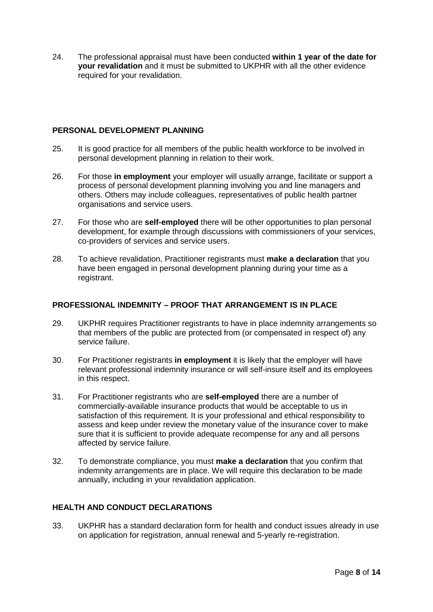24. The professional appraisal must have been conducted **within 1 year of the date for your revalidation** and it must be submitted to UKPHR with all the other evidence required for your revalidation.

#### **PERSONAL DEVELOPMENT PLANNING**

- 25. It is good practice for all members of the public health workforce to be involved in personal development planning in relation to their work.
- 26. For those **in employment** your employer will usually arrange, facilitate or support a process of personal development planning involving you and line managers and others. Others may include colleagues, representatives of public health partner organisations and service users.
- 27. For those who are **self-employed** there will be other opportunities to plan personal development, for example through discussions with commissioners of your services, co-providers of services and service users.
- 28. To achieve revalidation, Practitioner registrants must **make a declaration** that you have been engaged in personal development planning during your time as a registrant.

#### **PROFESSIONAL INDEMNITY – PROOF THAT ARRANGEMENT IS IN PLACE**

- 29. UKPHR requires Practitioner registrants to have in place indemnity arrangements so that members of the public are protected from (or compensated in respect of) any service failure.
- 30. For Practitioner registrants **in employment** it is likely that the employer will have relevant professional indemnity insurance or will self-insure itself and its employees in this respect.
- 31. For Practitioner registrants who are **self-employed** there are a number of commercially-available insurance products that would be acceptable to us in satisfaction of this requirement. It is your professional and ethical responsibility to assess and keep under review the monetary value of the insurance cover to make sure that it is sufficient to provide adequate recompense for any and all persons affected by service failure.
- 32. To demonstrate compliance, you must **make a declaration** that you confirm that indemnity arrangements are in place. We will require this declaration to be made annually, including in your revalidation application.

### **HEALTH AND CONDUCT DECLARATIONS**

33. UKPHR has a standard declaration form for health and conduct issues already in use on application for registration, annual renewal and 5-yearly re-registration.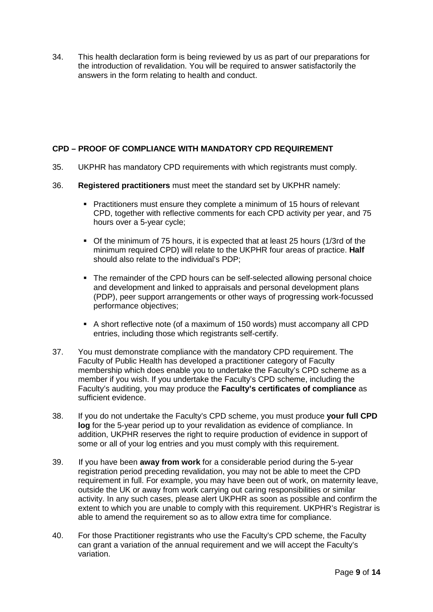34. This health declaration form is being reviewed by us as part of our preparations for the introduction of revalidation. You will be required to answer satisfactorily the answers in the form relating to health and conduct.

#### **CPD – PROOF OF COMPLIANCE WITH MANDATORY CPD REQUIREMENT**

- 35. UKPHR has mandatory CPD requirements with which registrants must comply.
- 36. **Registered practitioners** must meet the standard set by UKPHR namely:
	- **Practitioners must ensure they complete a minimum of 15 hours of relevant** CPD, together with reflective comments for each CPD activity per year, and 75 hours over a 5-year cycle;
	- Of the minimum of 75 hours, it is expected that at least 25 hours (1/3rd of the minimum required CPD) will relate to the UKPHR four areas of practice. **Half** should also relate to the individual's PDP;
	- The remainder of the CPD hours can be self-selected allowing personal choice and development and linked to appraisals and personal development plans (PDP), peer support arrangements or other ways of progressing work-focussed performance objectives;
	- A short reflective note (of a maximum of 150 words) must accompany all CPD entries, including those which registrants self-certify.
- 37. You must demonstrate compliance with the mandatory CPD requirement. The Faculty of Public Health has developed a practitioner category of Faculty membership which does enable you to undertake the Faculty's CPD scheme as a member if you wish. If you undertake the Faculty's CPD scheme, including the Faculty's auditing, you may produce the **Faculty's certificates of compliance** as sufficient evidence.
- 38. If you do not undertake the Faculty's CPD scheme, you must produce **your full CPD log** for the 5-year period up to your revalidation as evidence of compliance. In addition, UKPHR reserves the right to require production of evidence in support of some or all of your log entries and you must comply with this requirement.
- 39. If you have been **away from work** for a considerable period during the 5-year registration period preceding revalidation, you may not be able to meet the CPD requirement in full. For example, you may have been out of work, on maternity leave, outside the UK or away from work carrying out caring responsibilities or similar activity. In any such cases, please alert UKPHR as soon as possible and confirm the extent to which you are unable to comply with this requirement. UKPHR's Registrar is able to amend the requirement so as to allow extra time for compliance.
- 40. For those Practitioner registrants who use the Faculty's CPD scheme, the Faculty can grant a variation of the annual requirement and we will accept the Faculty's variation.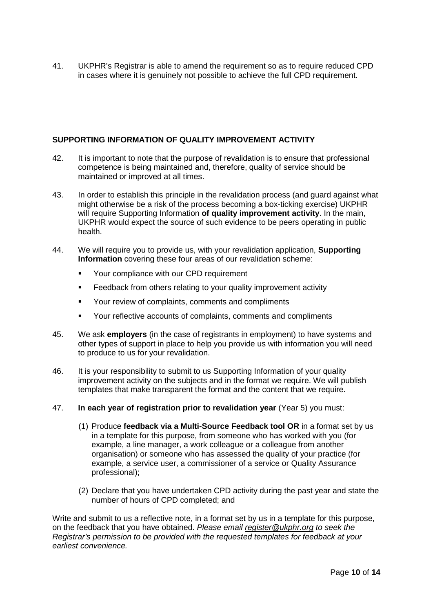41. UKPHR's Registrar is able to amend the requirement so as to require reduced CPD in cases where it is genuinely not possible to achieve the full CPD requirement.

#### **SUPPORTING INFORMATION OF QUALITY IMPROVEMENT ACTIVITY**

- 42. It is important to note that the purpose of revalidation is to ensure that professional competence is being maintained and, therefore, quality of service should be maintained or improved at all times.
- 43. In order to establish this principle in the revalidation process (and guard against what might otherwise be a risk of the process becoming a box-ticking exercise) UKPHR will require Supporting Information **of quality improvement activity**. In the main, UKPHR would expect the source of such evidence to be peers operating in public health.
- 44. We will require you to provide us, with your revalidation application, **Supporting Information** covering these four areas of our revalidation scheme:
	- **Your compliance with our CPD requirement**
	- Feedback from others relating to your quality improvement activity
	- Your review of complaints, comments and compliments
	- Your reflective accounts of complaints, comments and compliments
- 45. We ask **employers** (in the case of registrants in employment) to have systems and other types of support in place to help you provide us with information you will need to produce to us for your revalidation.
- 46. It is your responsibility to submit to us Supporting Information of your quality improvement activity on the subjects and in the format we require. We will publish templates that make transparent the format and the content that we require.
- 47. **In each year of registration prior to revalidation year** (Year 5) you must:
	- (1) Produce **feedback via a Multi-Source Feedback tool OR** in a format set by us in a template for this purpose, from someone who has worked with you (for example, a line manager, a work colleague or a colleague from another organisation) or someone who has assessed the quality of your practice (for example, a service user, a commissioner of a service or Quality Assurance professional);
	- (2) Declare that you have undertaken CPD activity during the past year and state the number of hours of CPD completed; and

Write and submit to us a reflective note, in a format set by us in a template for this purpose, on the feedback that you have obtained. *Please email [register@ukphr.org](mailto:register@ukphr.org) to seek the Registrar's permission to be provided with the requested templates for feedback at your earliest convenience.*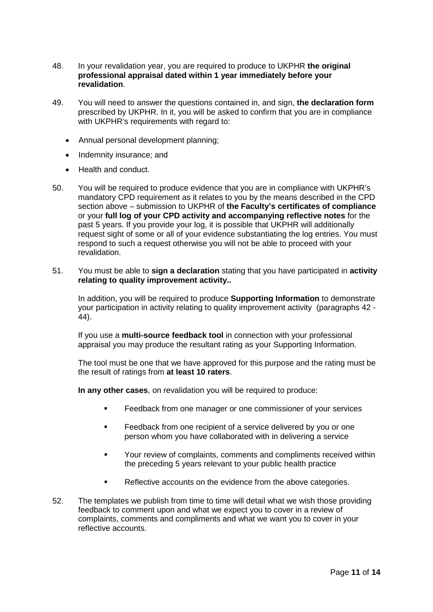- 48. In your revalidation year, you are required to produce to UKPHR **the original professional appraisal dated within 1 year immediately before your revalidation**.
- 49. You will need to answer the questions contained in, and sign, **the declaration form** prescribed by UKPHR. In it, you will be asked to confirm that you are in compliance with UKPHR's requirements with regard to:
	- Annual personal development planning;
	- Indemnity insurance; and
	- Health and conduct.
- 50. You will be required to produce evidence that you are in compliance with UKPHR's mandatory CPD requirement as it relates to you by the means described in the CPD section above – submission to UKPHR of **the Faculty's certificates of compliance** or your **full log of your CPD activity and accompanying reflective notes** for the past 5 years. If you provide your log, it is possible that UKPHR will additionally request sight of some or all of your evidence substantiating the log entries. You must respond to such a request otherwise you will not be able to proceed with your revalidation.
- 51. You must be able to **sign a declaration** stating that you have participated in **activity relating to quality improvement activity..**

In addition, you will be required to produce **Supporting Information** to demonstrate your participation in activity relating to quality improvement activity (paragraphs 42 - 44).

If you use a **multi-source feedback tool** in connection with your professional appraisal you may produce the resultant rating as your Supporting Information.

The tool must be one that we have approved for this purpose and the rating must be the result of ratings from **at least 10 raters**.

**In any other cases**, on revalidation you will be required to produce:

- **Feedback from one manager or one commissioner of your services**
- **Feedback from one recipient of a service delivered by you or one** person whom you have collaborated with in delivering a service
- Your review of complaints, comments and compliments received within the preceding 5 years relevant to your public health practice
- Reflective accounts on the evidence from the above categories.
- 52. The templates we publish from time to time will detail what we wish those providing feedback to comment upon and what we expect you to cover in a review of complaints, comments and compliments and what we want you to cover in your reflective accounts.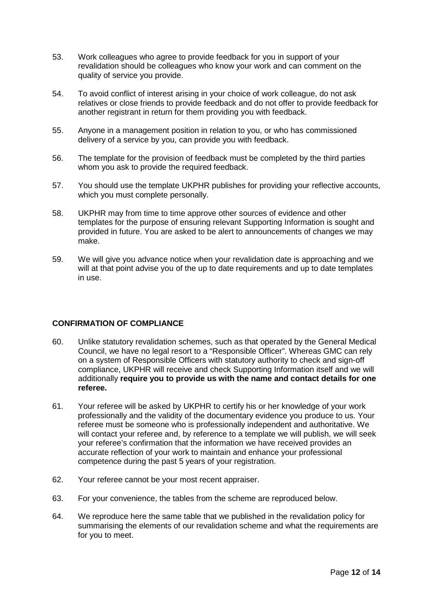- 53. Work colleagues who agree to provide feedback for you in support of your revalidation should be colleagues who know your work and can comment on the quality of service you provide.
- 54. To avoid conflict of interest arising in your choice of work colleague, do not ask relatives or close friends to provide feedback and do not offer to provide feedback for another registrant in return for them providing you with feedback.
- 55. Anyone in a management position in relation to you, or who has commissioned delivery of a service by you, can provide you with feedback.
- 56. The template for the provision of feedback must be completed by the third parties whom you ask to provide the required feedback.
- 57. You should use the template UKPHR publishes for providing your reflective accounts, which you must complete personally.
- 58. UKPHR may from time to time approve other sources of evidence and other templates for the purpose of ensuring relevant Supporting Information is sought and provided in future. You are asked to be alert to announcements of changes we may make.
- 59. We will give you advance notice when your revalidation date is approaching and we will at that point advise you of the up to date requirements and up to date templates in use.

#### **CONFIRMATION OF COMPLIANCE**

- 60. Unlike statutory revalidation schemes, such as that operated by the General Medical Council, we have no legal resort to a "Responsible Officer". Whereas GMC can rely on a system of Responsible Officers with statutory authority to check and sign-off compliance, UKPHR will receive and check Supporting Information itself and we will additionally **require you to provide us with the name and contact details for one referee.**
- 61. Your referee will be asked by UKPHR to certify his or her knowledge of your work professionally and the validity of the documentary evidence you produce to us. Your referee must be someone who is professionally independent and authoritative. We will contact your referee and, by reference to a template we will publish, we will seek your referee's confirmation that the information we have received provides an accurate reflection of your work to maintain and enhance your professional competence during the past 5 years of your registration.
- 62. Your referee cannot be your most recent appraiser.
- 63. For your convenience, the tables from the scheme are reproduced below.
- 64. We reproduce here the same table that we published in the revalidation policy for summarising the elements of our revalidation scheme and what the requirements are for you to meet.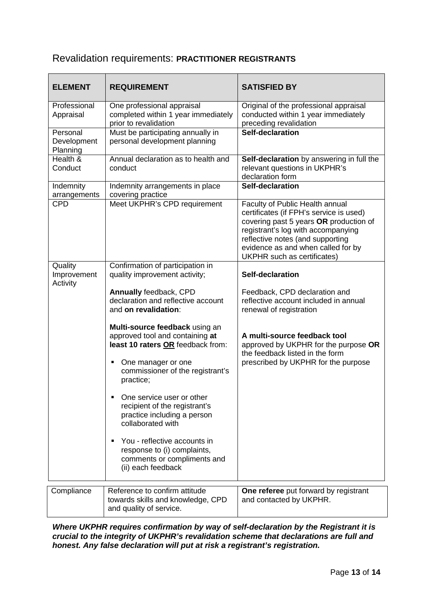### Revalidation requirements: **PRACTITIONER REGISTRANTS**

| <b>ELEMENT</b>                      | <b>REQUIREMENT</b>                                                                                                                                                                                                                                                                                                                                                                                                       | <b>SATISFIED BY</b>                                                                                                                                                                                                                                                 |
|-------------------------------------|--------------------------------------------------------------------------------------------------------------------------------------------------------------------------------------------------------------------------------------------------------------------------------------------------------------------------------------------------------------------------------------------------------------------------|---------------------------------------------------------------------------------------------------------------------------------------------------------------------------------------------------------------------------------------------------------------------|
| Professional<br>Appraisal           | One professional appraisal<br>completed within 1 year immediately<br>prior to revalidation                                                                                                                                                                                                                                                                                                                               | Original of the professional appraisal<br>conducted within 1 year immediately<br>preceding revalidation                                                                                                                                                             |
| Personal<br>Development<br>Planning | Must be participating annually in<br>personal development planning                                                                                                                                                                                                                                                                                                                                                       | Self-declaration                                                                                                                                                                                                                                                    |
| Health &<br>Conduct                 | Annual declaration as to health and<br>conduct                                                                                                                                                                                                                                                                                                                                                                           | Self-declaration by answering in full the<br>relevant questions in UKPHR's<br>declaration form                                                                                                                                                                      |
| Indemnity<br>arrangements           | Indemnity arrangements in place<br>covering practice                                                                                                                                                                                                                                                                                                                                                                     | Self-declaration                                                                                                                                                                                                                                                    |
| <b>CPD</b>                          | Meet UKPHR's CPD requirement                                                                                                                                                                                                                                                                                                                                                                                             | Faculty of Public Health annual<br>certificates (if FPH's service is used)<br>covering past 5 years OR production of<br>registrant's log with accompanying<br>reflective notes (and supporting<br>evidence as and when called for by<br>UKPHR such as certificates) |
| Quality<br>Improvement<br>Activity  | Confirmation of participation in<br>quality improvement activity;                                                                                                                                                                                                                                                                                                                                                        | Self-declaration                                                                                                                                                                                                                                                    |
|                                     | Annually feedback, CPD<br>declaration and reflective account<br>and on revalidation:                                                                                                                                                                                                                                                                                                                                     | Feedback, CPD declaration and<br>reflective account included in annual<br>renewal of registration                                                                                                                                                                   |
|                                     | Multi-source feedback using an<br>approved tool and containing at<br>least 10 raters OR feedback from:<br>One manager or one<br>commissioner of the registrant's<br>practice;<br>One service user or other<br>recipient of the registrant's<br>practice including a person<br>collaborated with<br>You - reflective accounts in<br>٠<br>response to (i) complaints,<br>comments or compliments and<br>(ii) each feedback | A multi-source feedback tool<br>approved by UKPHR for the purpose OR<br>the feedback listed in the form<br>prescribed by UKPHR for the purpose                                                                                                                      |
| Compliance                          | Reference to confirm attitude<br>towards skills and knowledge, CPD<br>and quality of service.                                                                                                                                                                                                                                                                                                                            | One referee put forward by registrant<br>and contacted by UKPHR.                                                                                                                                                                                                    |

*Where UKPHR requires confirmation by way of self-declaration by the Registrant it is crucial to the integrity of UKPHR's revalidation scheme that declarations are full and honest. Any false declaration will put at risk a registrant's registration.*